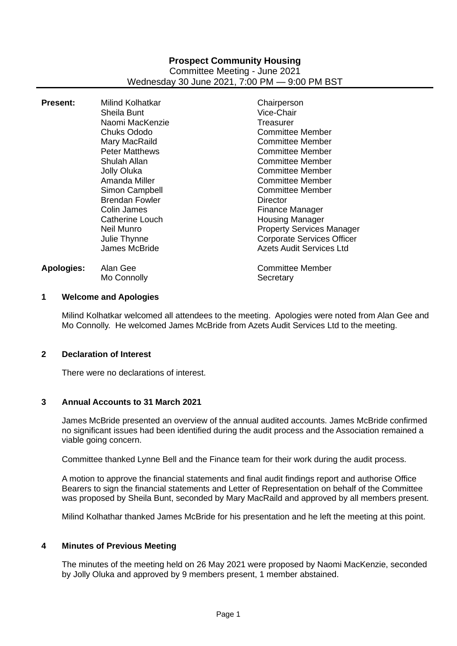# **Prospect Community Housing** Committee Meeting - June 2021 Wednesday 30 June 2021, 7:00 PM — 9:00 PM BST

| <b>Present:</b>   | Milind Kolhatkar      | Chairperson                       |
|-------------------|-----------------------|-----------------------------------|
|                   | Sheila Bunt           | Vice-Chair                        |
|                   | Naomi MacKenzie       | Treasurer                         |
|                   | Chuks Ododo           | Committee Member                  |
|                   | Mary MacRaild         | Committee Member                  |
|                   | <b>Peter Matthews</b> | Committee Member                  |
|                   | Shulah Allan          | <b>Committee Member</b>           |
|                   | Jolly Oluka           | Committee Member                  |
|                   | Amanda Miller         | <b>Committee Member</b>           |
|                   | Simon Campbell        | <b>Committee Member</b>           |
|                   | <b>Brendan Fowler</b> | Director                          |
|                   | Colin James           | Finance Manager                   |
|                   | Catherine Louch       | <b>Housing Manager</b>            |
|                   | Neil Munro            | <b>Property Services Manager</b>  |
|                   | Julie Thynne          | <b>Corporate Services Officer</b> |
|                   | James McBride         | <b>Azets Audit Services Ltd</b>   |
| <b>Apologies:</b> | Alan Gee              | <b>Committee Member</b>           |
|                   | Mo Connolly           | Secretary                         |

## **1 Welcome and Apologies**

Milind Kolhatkar welcomed all attendees to the meeting. Apologies were noted from Alan Gee and Mo Connolly. He welcomed James McBride from Azets Audit Services Ltd to the meeting.

## **2 Declaration of Interest**

There were no declarations of interest.

#### **3 Annual Accounts to 31 March 2021**

James McBride presented an overview of the annual audited accounts. James McBride confirmed no significant issues had been identified during the audit process and the Association remained a viable going concern.

Committee thanked Lynne Bell and the Finance team for their work during the audit process.

A motion to approve the financial statements and final audit findings report and authorise Office Bearers to sign the financial statements and Letter of Representation on behalf of the Committee was proposed by Sheila Bunt, seconded by Mary MacRaild and approved by all members present.

Milind Kolhathar thanked James McBride for his presentation and he left the meeting at this point.

#### **4 Minutes of Previous Meeting**

The minutes of the meeting held on 26 May 2021 were proposed by Naomi MacKenzie, seconded by Jolly Oluka and approved by 9 members present, 1 member abstained.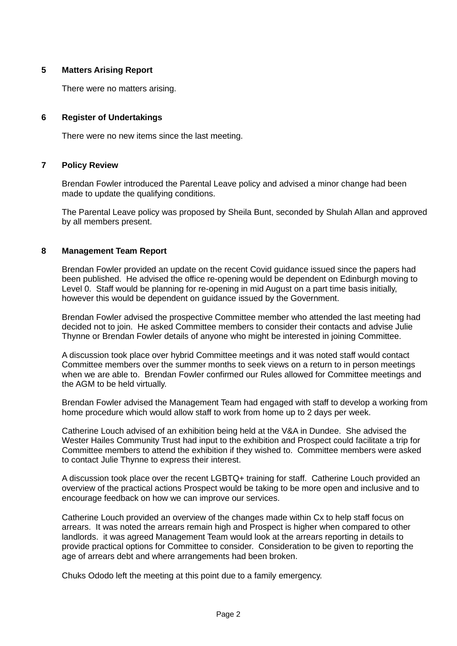# **5 Matters Arising Report**

There were no matters arising.

# **6 Register of Undertakings**

There were no new items since the last meeting.

# **7 Policy Review**

Brendan Fowler introduced the Parental Leave policy and advised a minor change had been made to update the qualifying conditions.

The Parental Leave policy was proposed by Sheila Bunt, seconded by Shulah Allan and approved by all members present.

## **8 Management Team Report**

Brendan Fowler provided an update on the recent Covid guidance issued since the papers had been published. He advised the office re-opening would be dependent on Edinburgh moving to Level 0. Staff would be planning for re-opening in mid August on a part time basis initially, however this would be dependent on guidance issued by the Government.

Brendan Fowler advised the prospective Committee member who attended the last meeting had decided not to join. He asked Committee members to consider their contacts and advise Julie Thynne or Brendan Fowler details of anyone who might be interested in joining Committee.

A discussion took place over hybrid Committee meetings and it was noted staff would contact Committee members over the summer months to seek views on a return to in person meetings when we are able to. Brendan Fowler confirmed our Rules allowed for Committee meetings and the AGM to be held virtually.

Brendan Fowler advised the Management Team had engaged with staff to develop a working from home procedure which would allow staff to work from home up to 2 days per week.

Catherine Louch advised of an exhibition being held at the V&A in Dundee. She advised the Wester Hailes Community Trust had input to the exhibition and Prospect could facilitate a trip for Committee members to attend the exhibition if they wished to. Committee members were asked to contact Julie Thynne to express their interest.

A discussion took place over the recent LGBTQ+ training for staff. Catherine Louch provided an overview of the practical actions Prospect would be taking to be more open and inclusive and to encourage feedback on how we can improve our services.

Catherine Louch provided an overview of the changes made within Cx to help staff focus on arrears. It was noted the arrears remain high and Prospect is higher when compared to other landlords. it was agreed Management Team would look at the arrears reporting in details to provide practical options for Committee to consider. Consideration to be given to reporting the age of arrears debt and where arrangements had been broken.

Chuks Ododo left the meeting at this point due to a family emergency.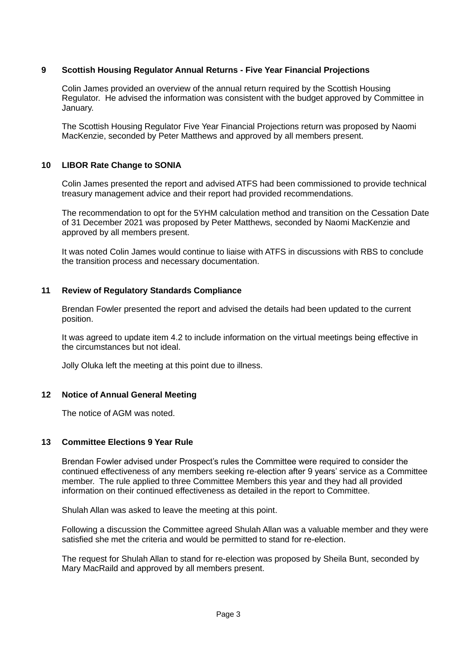# **9 Scottish Housing Regulator Annual Returns - Five Year Financial Projections**

Colin James provided an overview of the annual return required by the Scottish Housing Regulator. He advised the information was consistent with the budget approved by Committee in January.

The Scottish Housing Regulator Five Year Financial Projections return was proposed by Naomi MacKenzie, seconded by Peter Matthews and approved by all members present.

# **10 LIBOR Rate Change to SONIA**

Colin James presented the report and advised ATFS had been commissioned to provide technical treasury management advice and their report had provided recommendations.

The recommendation to opt for the 5YHM calculation method and transition on the Cessation Date of 31 December 2021 was proposed by Peter Matthews, seconded by Naomi MacKenzie and approved by all members present.

It was noted Colin James would continue to liaise with ATFS in discussions with RBS to conclude the transition process and necessary documentation.

## **11 Review of Regulatory Standards Compliance**

Brendan Fowler presented the report and advised the details had been updated to the current position.

It was agreed to update item 4.2 to include information on the virtual meetings being effective in the circumstances but not ideal.

Jolly Oluka left the meeting at this point due to illness.

## **12 Notice of Annual General Meeting**

The notice of AGM was noted.

### **13 Committee Elections 9 Year Rule**

Brendan Fowler advised under Prospect's rules the Committee were required to consider the continued effectiveness of any members seeking re-election after 9 years' service as a Committee member. The rule applied to three Committee Members this year and they had all provided information on their continued effectiveness as detailed in the report to Committee.

Shulah Allan was asked to leave the meeting at this point.

Following a discussion the Committee agreed Shulah Allan was a valuable member and they were satisfied she met the criteria and would be permitted to stand for re-election.

The request for Shulah Allan to stand for re-election was proposed by Sheila Bunt, seconded by Mary MacRaild and approved by all members present.